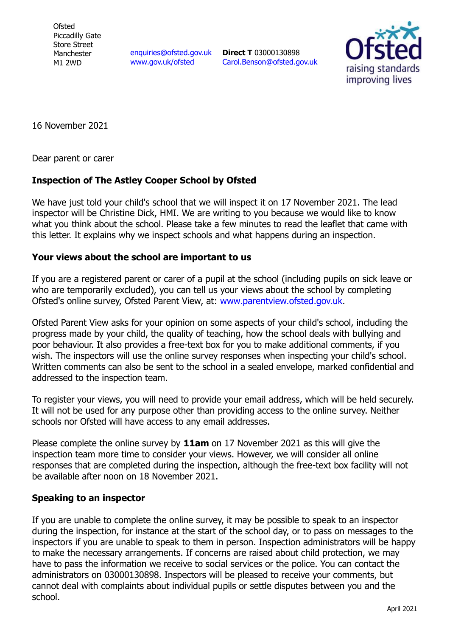**Ofsted** Piccadilly Gate Store Street Manchester M1 2WD

[enquiries@ofsted.gov.uk](mailto:enquiries@ofsted.gov.uk) [www.gov.uk/ofsted](http://www.gov.uk/ofsted)

**Direct T** 03000130898 [Carol.Benson@ofsted.gov.uk](mailto:Carol.Benson@ofsted.gov.uk)



16 November 2021

Dear parent or carer

## **Inspection of The Astley Cooper School by Ofsted**

We have just told your child's school that we will inspect it on 17 November 2021. The lead inspector will be Christine Dick, HMI. We are writing to you because we would like to know what you think about the school. Please take a few minutes to read the leaflet that came with this letter. It explains why we inspect schools and what happens during an inspection.

## **Your views about the school are important to us**

If you are a registered parent or carer of a pupil at the school (including pupils on sick leave or who are temporarily excluded), you can tell us your views about the school by completing Ofsted's online survey, Ofsted Parent View, at: [www.parentview.ofsted.gov.uk.](http://www.parentview.ofsted.gov.uk/)

Ofsted Parent View asks for your opinion on some aspects of your child's school, including the progress made by your child, the quality of teaching, how the school deals with bullying and poor behaviour. It also provides a free-text box for you to make additional comments, if you wish. The inspectors will use the online survey responses when inspecting your child's school. Written comments can also be sent to the school in a sealed envelope, marked confidential and addressed to the inspection team.

To register your views, you will need to provide your email address, which will be held securely. It will not be used for any purpose other than providing access to the online survey. Neither schools nor Ofsted will have access to any email addresses.

Please complete the online survey by **11am** on 17 November 2021 as this will give the inspection team more time to consider your views. However, we will consider all online responses that are completed during the inspection, although the free-text box facility will not be available after noon on 18 November 2021.

## **Speaking to an inspector**

If you are unable to complete the online survey, it may be possible to speak to an inspector during the inspection, for instance at the start of the school day, or to pass on messages to the inspectors if you are unable to speak to them in person. Inspection administrators will be happy to make the necessary arrangements. If concerns are raised about child protection, we may have to pass the information we receive to social services or the police. You can contact the administrators on 03000130898. Inspectors will be pleased to receive your comments, but cannot deal with complaints about individual pupils or settle disputes between you and the school.